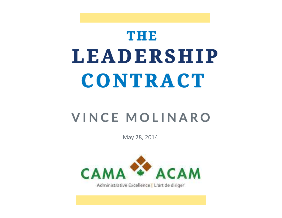## THE **LEADERSHIP** CONTRACT

#### **VINCE MOLINARO**

May 28, 2014



Administrative Excellence | L'art de diriger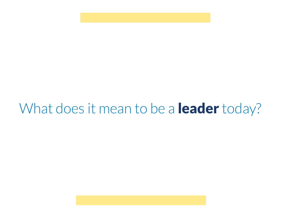### What does it mean to be a **leader** today?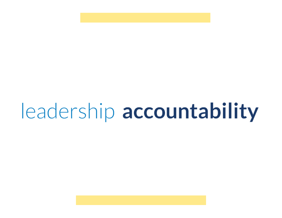# leadership accountability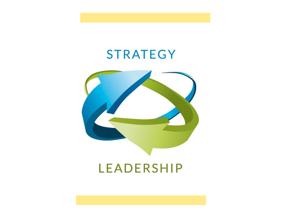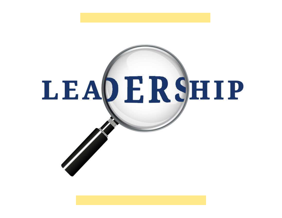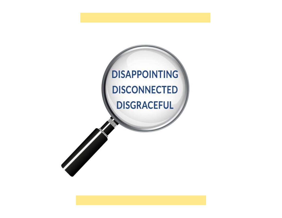### **DISAPPOINTING DISCONNECTED DISGRACEFUL**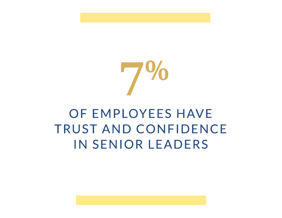

#### OF EMPLOYEES HAVE **TRUST AND CONFIDENCE IN SENIOR LEADERS**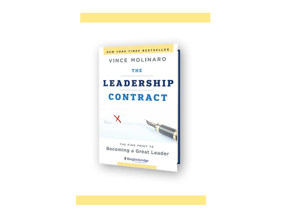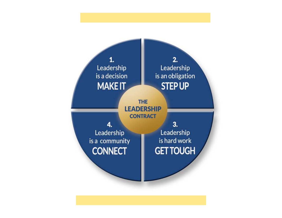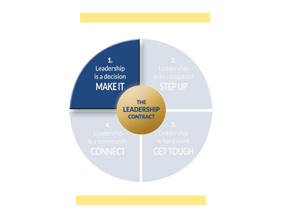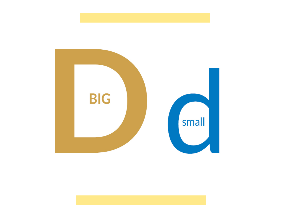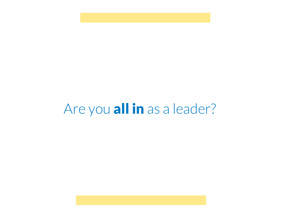#### Are you all in as a leader?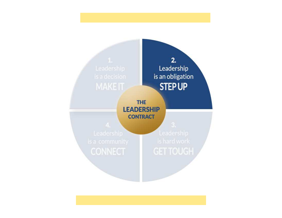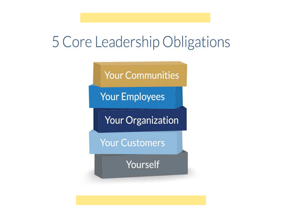#### 5 Core Leadership Obligations

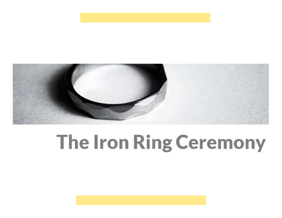

### The Iron Ring Ceremony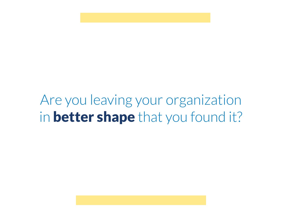### Are you leaving your organization in better shape that you found it?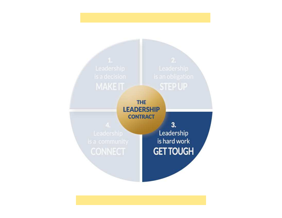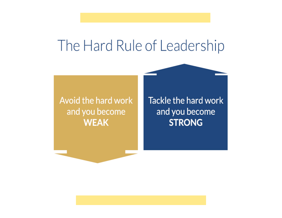#### The Hard Rule of Leadership

#### Avoid the hard work and you become **WEAK**

Tackle the hard work and you become **STRONG**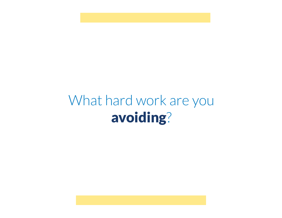#### What hard work are you avoiding?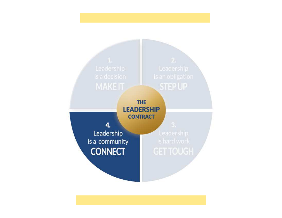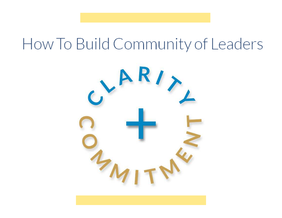### How To Build Community of Leaders

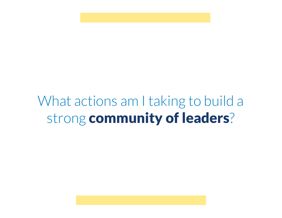### What actions am I taking to build a strong community of leaders?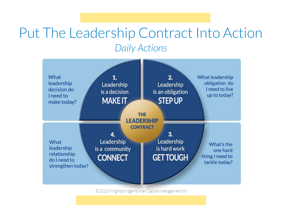#### *Daily Actions*Put The Leadership Contract Into Action



©2013 Knightsbridge Human Capital Management Inc.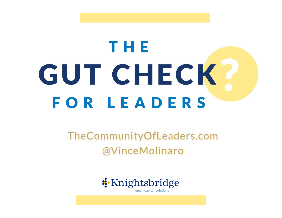# THE GUT CHECK? **FOR LEADERS**

#### TheCommunityOfLeaders.com @VinceMolinaro